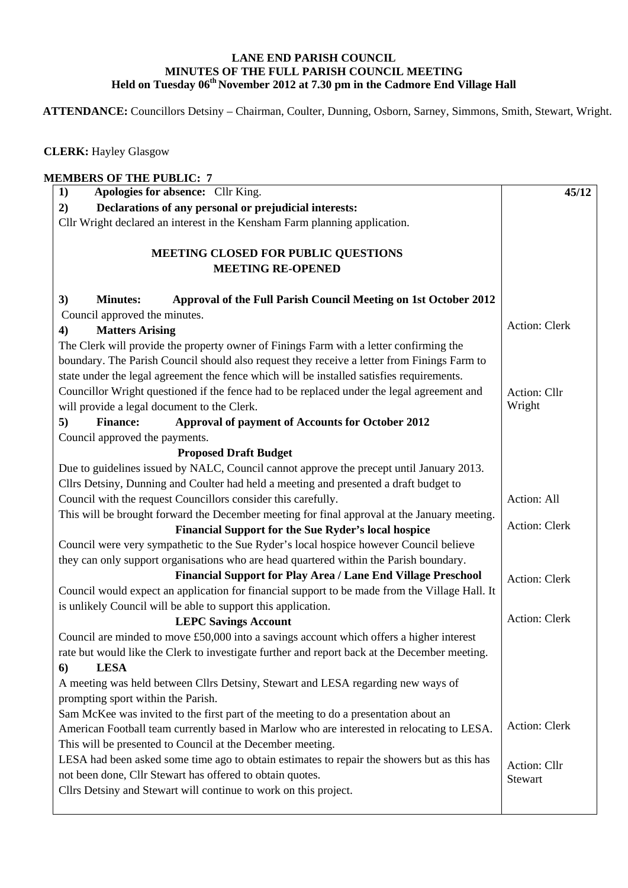## **LANE END PARISH COUNCIL MINUTES OF THE FULL PARISH COUNCIL MEETING**  Held on Tuesday 06<sup>th</sup> November 2012 at 7.30 pm in the Cadmore End Village Hall

 **ATTENDANCE:** Councillors Detsiny – Chairman, Coulter, Dunning, Osborn, Sarney, Simmons, Smith, Stewart, Wright.

 **CLERK:** Hayley Glasgow

| <b>MEMBERS OF THE PUBLIC: 7</b><br>Apologies for absence: Cllr King.<br>1)                                                                                                                                                                                                                                                                                                                                                      | 45/12                  |
|---------------------------------------------------------------------------------------------------------------------------------------------------------------------------------------------------------------------------------------------------------------------------------------------------------------------------------------------------------------------------------------------------------------------------------|------------------------|
| Declarations of any personal or prejudicial interests:<br>2)                                                                                                                                                                                                                                                                                                                                                                    |                        |
| Cllr Wright declared an interest in the Kensham Farm planning application.                                                                                                                                                                                                                                                                                                                                                      |                        |
| <b>MEETING CLOSED FOR PUBLIC QUESTIONS</b><br><b>MEETING RE-OPENED</b>                                                                                                                                                                                                                                                                                                                                                          |                        |
| Approval of the Full Parish Council Meeting on 1st October 2012<br><b>Minutes:</b><br>3)                                                                                                                                                                                                                                                                                                                                        |                        |
| Council approved the minutes.                                                                                                                                                                                                                                                                                                                                                                                                   |                        |
| <b>Matters Arising</b><br>$\boldsymbol{4}$                                                                                                                                                                                                                                                                                                                                                                                      | Action: Clerk          |
| The Clerk will provide the property owner of Finings Farm with a letter confirming the<br>boundary. The Parish Council should also request they receive a letter from Finings Farm to<br>state under the legal agreement the fence which will be installed satisfies requirements.<br>Councillor Wright questioned if the fence had to be replaced under the legal agreement and<br>will provide a legal document to the Clerk. | Action: Cllr<br>Wright |
| <b>Finance:</b><br>Approval of payment of Accounts for October 2012<br>5)                                                                                                                                                                                                                                                                                                                                                       |                        |
| Council approved the payments.                                                                                                                                                                                                                                                                                                                                                                                                  |                        |
| <b>Proposed Draft Budget</b>                                                                                                                                                                                                                                                                                                                                                                                                    |                        |
| Due to guidelines issued by NALC, Council cannot approve the precept until January 2013.<br>Cllrs Detsiny, Dunning and Coulter had held a meeting and presented a draft budget to                                                                                                                                                                                                                                               |                        |
| Council with the request Councillors consider this carefully.                                                                                                                                                                                                                                                                                                                                                                   | Action: All            |
| This will be brought forward the December meeting for final approval at the January meeting.                                                                                                                                                                                                                                                                                                                                    |                        |
| <b>Financial Support for the Sue Ryder's local hospice</b>                                                                                                                                                                                                                                                                                                                                                                      | Action: Clerk          |
| Council were very sympathetic to the Sue Ryder's local hospice however Council believe                                                                                                                                                                                                                                                                                                                                          |                        |
| they can only support organisations who are head quartered within the Parish boundary.                                                                                                                                                                                                                                                                                                                                          |                        |
| Financial Support for Play Area / Lane End Village Preschool                                                                                                                                                                                                                                                                                                                                                                    | <b>Action: Clerk</b>   |
| Council would expect an application for financial support to be made from the Village Hall. It<br>is unlikely Council will be able to support this application.                                                                                                                                                                                                                                                                 |                        |
| <b>LEPC Savings Account</b>                                                                                                                                                                                                                                                                                                                                                                                                     | Action: Clerk          |
| Council are minded to move £50,000 into a savings account which offers a higher interest                                                                                                                                                                                                                                                                                                                                        |                        |
| rate but would like the Clerk to investigate further and report back at the December meeting.                                                                                                                                                                                                                                                                                                                                   |                        |
| <b>LESA</b><br>6)                                                                                                                                                                                                                                                                                                                                                                                                               |                        |
| A meeting was held between Cllrs Detsiny, Stewart and LESA regarding new ways of<br>prompting sport within the Parish.                                                                                                                                                                                                                                                                                                          |                        |
| Sam McKee was invited to the first part of the meeting to do a presentation about an                                                                                                                                                                                                                                                                                                                                            |                        |
| American Football team currently based in Marlow who are interested in relocating to LESA.                                                                                                                                                                                                                                                                                                                                      | Action: Clerk          |
| This will be presented to Council at the December meeting.                                                                                                                                                                                                                                                                                                                                                                      |                        |
| LESA had been asked some time ago to obtain estimates to repair the showers but as this has                                                                                                                                                                                                                                                                                                                                     |                        |
| not been done, Cllr Stewart has offered to obtain quotes.                                                                                                                                                                                                                                                                                                                                                                       | Action: Cllr           |
| Cllrs Detsiny and Stewart will continue to work on this project.                                                                                                                                                                                                                                                                                                                                                                | Stewart                |
|                                                                                                                                                                                                                                                                                                                                                                                                                                 |                        |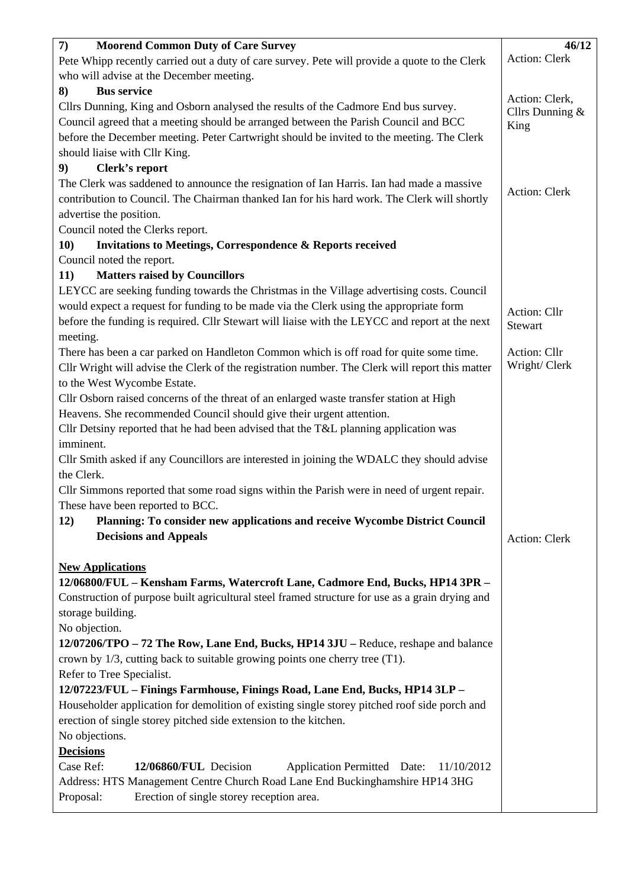| <b>Moorend Common Duty of Care Survey</b><br>$\boldsymbol{7}$                                                                                                                           | 46/12                   |
|-----------------------------------------------------------------------------------------------------------------------------------------------------------------------------------------|-------------------------|
| Pete Whipp recently carried out a duty of care survey. Pete will provide a quote to the Clerk                                                                                           | Action: Clerk           |
|                                                                                                                                                                                         |                         |
| who will advise at the December meeting.                                                                                                                                                |                         |
| <b>Bus service</b><br>8)                                                                                                                                                                | Action: Clerk,          |
| Cllrs Dunning, King and Osborn analysed the results of the Cadmore End bus survey.                                                                                                      | Cllrs Dunning &         |
| Council agreed that a meeting should be arranged between the Parish Council and BCC                                                                                                     | King                    |
| before the December meeting. Peter Cartwright should be invited to the meeting. The Clerk                                                                                               |                         |
| should liaise with Cllr King.                                                                                                                                                           |                         |
| Clerk's report<br>9)                                                                                                                                                                    |                         |
| The Clerk was saddened to announce the resignation of Ian Harris. Ian had made a massive<br>contribution to Council. The Chairman thanked Ian for his hard work. The Clerk will shortly | Action: Clerk           |
| advertise the position.                                                                                                                                                                 |                         |
| Council noted the Clerks report.                                                                                                                                                        |                         |
| <b>10)</b><br><b>Invitations to Meetings, Correspondence &amp; Reports received</b>                                                                                                     |                         |
| Council noted the report.                                                                                                                                                               |                         |
| <b>Matters raised by Councillors</b><br>11)                                                                                                                                             |                         |
| LEYCC are seeking funding towards the Christmas in the Village advertising costs. Council                                                                                               |                         |
| would expect a request for funding to be made via the Clerk using the appropriate form                                                                                                  |                         |
| before the funding is required. Cllr Stewart will liaise with the LEYCC and report at the next                                                                                          | Action: Cllr<br>Stewart |
| meeting.                                                                                                                                                                                |                         |
| There has been a car parked on Handleton Common which is off road for quite some time.                                                                                                  | Action: Cllr            |
| Cllr Wright will advise the Clerk of the registration number. The Clerk will report this matter<br>to the West Wycombe Estate.                                                          | Wright/ Clerk           |
| Cllr Osborn raised concerns of the threat of an enlarged waste transfer station at High                                                                                                 |                         |
| Heavens. She recommended Council should give their urgent attention.                                                                                                                    |                         |
| Cllr Detsiny reported that he had been advised that the T&L planning application was                                                                                                    |                         |
| imminent.                                                                                                                                                                               |                         |
|                                                                                                                                                                                         |                         |
| Cllr Smith asked if any Councillors are interested in joining the WDALC they should advise<br>the Clerk.                                                                                |                         |
| Cllr Simmons reported that some road signs within the Parish were in need of urgent repair.                                                                                             |                         |
| These have been reported to BCC.                                                                                                                                                        |                         |
| Planning: To consider new applications and receive Wycombe District Council<br><b>12</b> )                                                                                              |                         |
| <b>Decisions and Appeals</b>                                                                                                                                                            | Action: Clerk           |
|                                                                                                                                                                                         |                         |
| <b>New Applications</b>                                                                                                                                                                 |                         |
| 12/06800/FUL - Kensham Farms, Watercroft Lane, Cadmore End, Bucks, HP14 3PR -                                                                                                           |                         |
| Construction of purpose built agricultural steel framed structure for use as a grain drying and                                                                                         |                         |
|                                                                                                                                                                                         |                         |
| storage building.                                                                                                                                                                       |                         |
| No objection.                                                                                                                                                                           |                         |
| 12/07206/TPO – 72 The Row, Lane End, Bucks, HP14 3JU – Reduce, reshape and balance                                                                                                      |                         |
| crown by $1/3$ , cutting back to suitable growing points one cherry tree $(T1)$ .                                                                                                       |                         |
| Refer to Tree Specialist.                                                                                                                                                               |                         |
| 12/07223/FUL - Finings Farmhouse, Finings Road, Lane End, Bucks, HP14 3LP -                                                                                                             |                         |
| Householder application for demolition of existing single storey pitched roof side porch and                                                                                            |                         |
| erection of single storey pitched side extension to the kitchen.                                                                                                                        |                         |
| No objections.                                                                                                                                                                          |                         |
| <b>Decisions</b>                                                                                                                                                                        |                         |
| Case Ref:<br>12/06860/FUL Decision<br>Application Permitted Date:<br>11/10/2012                                                                                                         |                         |
| Address: HTS Management Centre Church Road Lane End Buckinghamshire HP14 3HG                                                                                                            |                         |
| Erection of single storey reception area.<br>Proposal:                                                                                                                                  |                         |
|                                                                                                                                                                                         |                         |